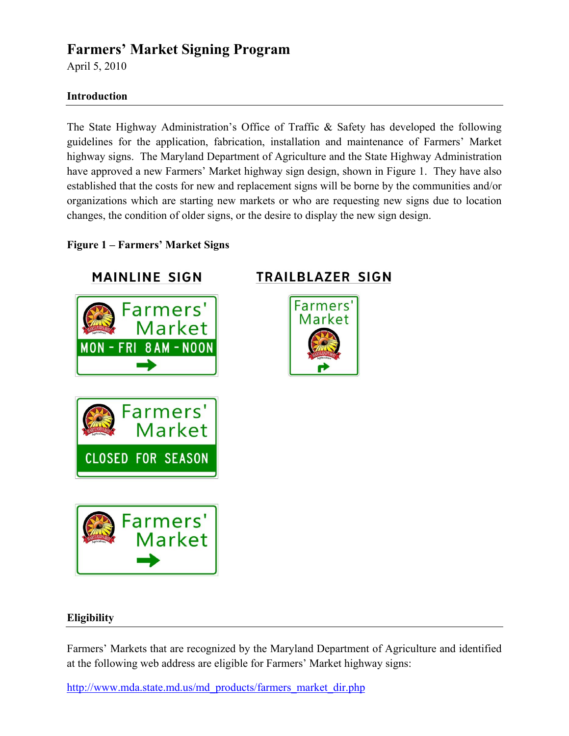# **Farmers' Market Signing Program**

April 5, 2010

## **Introduction**

The State Highway Administration's Office of Traffic & Safety has developed the following guidelines for the application, fabrication, installation and maintenance of Farmers' Market highway signs. The Maryland Department of Agriculture and the State Highway Administration have approved a new Farmers' Market highway sign design, shown in Figure 1. They have also established that the costs for new and replacement signs will be borne by the communities and/or organizations which are starting new markets or who are requesting new signs due to location changes, the condition of older signs, or the desire to display the new sign design.

## **Figure 1 – Farmers' Market Signs**





**Farmers** 

arket

# **TRAILBLAZER SIGN**



### **Eligibility**

Farmers' Markets that are recognized by the Maryland Department of Agriculture and identified at the following web address are eligible for Farmers' Market highway signs:

http://www.mda.state.md.us/md\_products/farmers\_market\_dir.php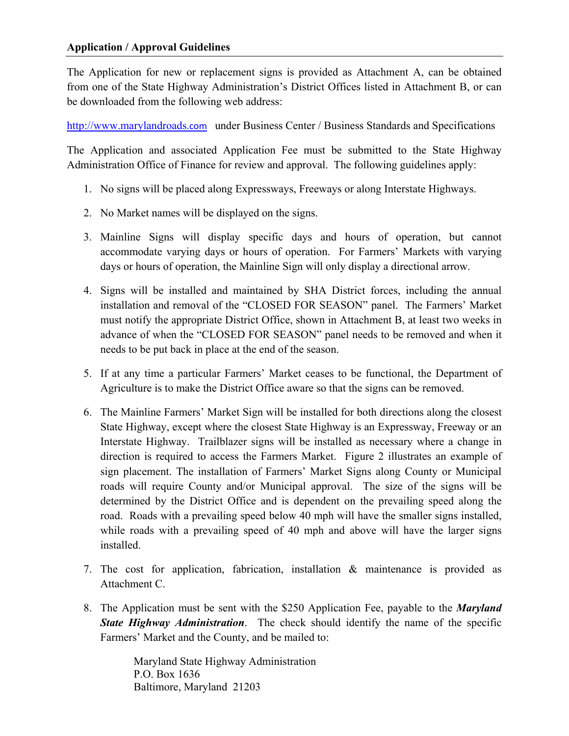The Application for new or replacement signs is provided as Attachment A, can be obtained from one of the State Highway Administration's District Offices listed in Attachment B, or can be downloaded from the following web address:

http://www.marylandroads.com under Business Center / Business Standards and Specifications

The Application and associated Application Fee must be submitted to the State Highway Administration Office of Finance for review and approval. The following guidelines apply:

- 1. No signs will be placed along Expressways, Freeways or along Interstate Highways.
- 2. No Market names will be displayed on the signs.
- 3. Mainline Signs will display specific days and hours of operation, but cannot accommodate varying days or hours of operation. For Farmers' Markets with varying days or hours of operation, the Mainline Sign will only display a directional arrow.
- 4. Signs will be installed and maintained by SHA District forces, including the annual installation and removal of the "CLOSED FOR SEASON" panel. The Farmers' Market must notify the appropriate District Office, shown in Attachment B, at least two weeks in advance of when the "CLOSED FOR SEASON" panel needs to be removed and when it needs to be put back in place at the end of the season.
- 5. If at any time a particular Farmers' Market ceases to be functional, the Department of Agriculture is to make the District Office aware so that the signs can be removed.
- 6. The Mainline Farmers' Market Sign will be installed for both directions along the closest State Highway, except where the closest State Highway is an Expressway, Freeway or an Interstate Highway. Trailblazer signs will be installed as necessary where a change in direction is required to access the Farmers Market. Figure 2 illustrates an example of sign placement. The installation of Farmers' Market Signs along County or Municipal roads will require County and/or Municipal approval. The size of the signs will be determined by the District Office and is dependent on the prevailing speed along the road. Roads with a prevailing speed below 40 mph will have the smaller signs installed, while roads with a prevailing speed of 40 mph and above will have the larger signs installed.
- 7. The cost for application, fabrication, installation & maintenance is provided as Attachment C.
- 8. The Application must be sent with the \$250 Application Fee, payable to the *Maryland State Highway Administration*. The check should identify the name of the specific Farmers' Market and the County, and be mailed to:

Maryland State Highway Administration P.O. Box 1636 Baltimore, Maryland 21203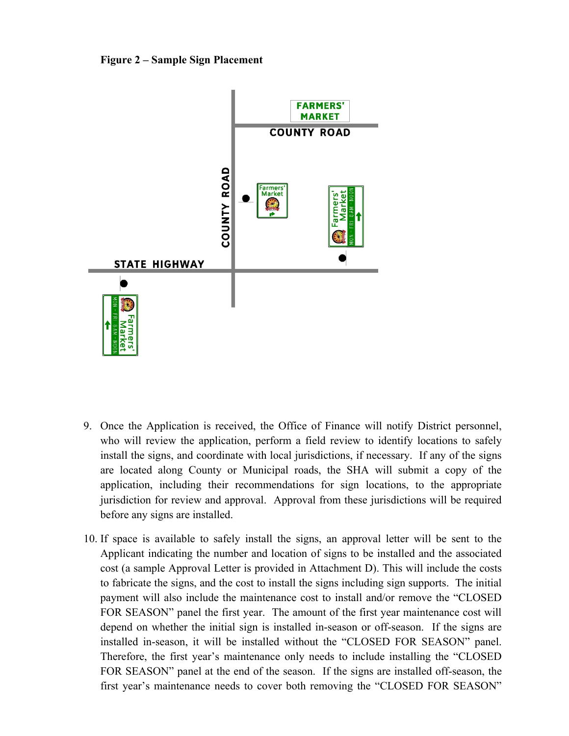



- 9. Once the Application is received, the Office of Finance will notify District personnel, who will review the application, perform a field review to identify locations to safely install the signs, and coordinate with local jurisdictions, if necessary. If any of the signs are located along County or Municipal roads, the SHA will submit a copy of the application, including their recommendations for sign locations, to the appropriate jurisdiction for review and approval. Approval from these jurisdictions will be required before any signs are installed.
- 10. If space is available to safely install the signs, an approval letter will be sent to the Applicant indicating the number and location of signs to be installed and the associated cost (a sample Approval Letter is provided in Attachment D). This will include the costs to fabricate the signs, and the cost to install the signs including sign supports. The initial payment will also include the maintenance cost to install and/or remove the "CLOSED FOR SEASON" panel the first year. The amount of the first year maintenance cost will depend on whether the initial sign is installed in-season or off-season. If the signs are installed in-season, it will be installed without the "CLOSED FOR SEASON" panel. Therefore, the first year's maintenance only needs to include installing the "CLOSED FOR SEASON" panel at the end of the season. If the signs are installed off-season, the first year's maintenance needs to cover both removing the "CLOSED FOR SEASON"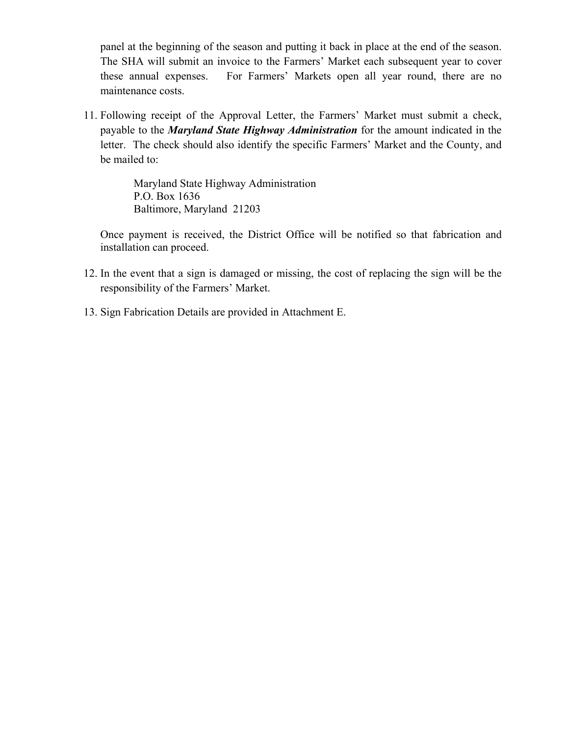panel at the beginning of the season and putting it back in place at the end of the season. The SHA will submit an invoice to the Farmers' Market each subsequent year to cover these annual expenses. For Farmers' Markets open all year round, there are no maintenance costs.

11. Following receipt of the Approval Letter, the Farmers' Market must submit a check, payable to the *Maryland State Highway Administration* for the amount indicated in the letter. The check should also identify the specific Farmers' Market and the County, and be mailed to:

> Maryland State Highway Administration P.O. Box 1636 Baltimore, Maryland 21203

Once payment is received, the District Office will be notified so that fabrication and installation can proceed.

- 12. In the event that a sign is damaged or missing, the cost of replacing the sign will be the responsibility of the Farmers' Market.
- 13. Sign Fabrication Details are provided in Attachment E.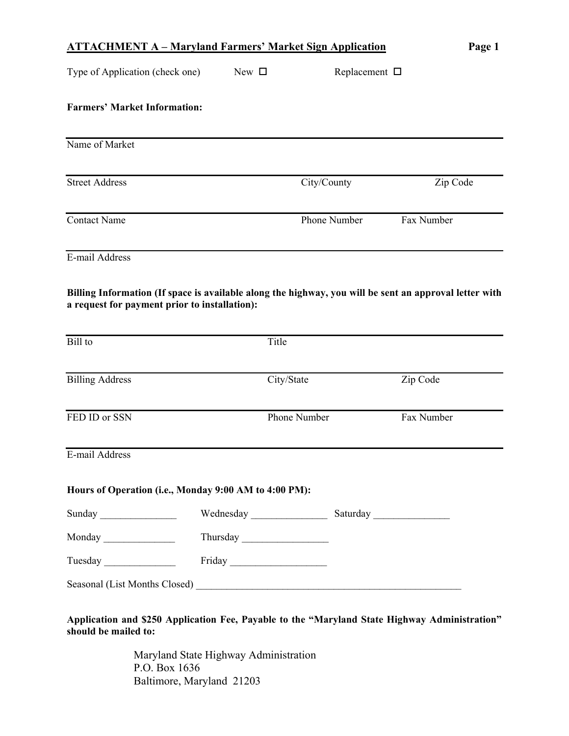|                                                                                                                                                         | <b>ATTACHMENT A – Maryland Farmers' Market Sign Application</b> |                       | Page 1     |  |
|---------------------------------------------------------------------------------------------------------------------------------------------------------|-----------------------------------------------------------------|-----------------------|------------|--|
| Type of Application (check one)                                                                                                                         | New $\square$                                                   | Replacement $\square$ |            |  |
| <b>Farmers' Market Information:</b>                                                                                                                     |                                                                 |                       |            |  |
| Name of Market                                                                                                                                          |                                                                 |                       |            |  |
| <b>Street Address</b>                                                                                                                                   | City/County                                                     |                       | Zip Code   |  |
| <b>Contact Name</b>                                                                                                                                     | Phone Number                                                    |                       | Fax Number |  |
| E-mail Address                                                                                                                                          |                                                                 |                       |            |  |
| Billing Information (If space is available along the highway, you will be sent an approval letter with<br>a request for payment prior to installation): |                                                                 |                       |            |  |
| Bill to                                                                                                                                                 | Title                                                           |                       |            |  |
| <b>Billing Address</b>                                                                                                                                  | City/State                                                      |                       | Zip Code   |  |
| FED ID or SSN                                                                                                                                           | Phone Number                                                    |                       | Fax Number |  |
| E-mail Address                                                                                                                                          |                                                                 |                       |            |  |
| Hours of Operation (i.e., Monday 9:00 AM to 4:00 PM):                                                                                                   |                                                                 |                       |            |  |
|                                                                                                                                                         |                                                                 |                       |            |  |
| Sunday                                                                                                                                                  |                                                                 |                       |            |  |
| Monday                                                                                                                                                  |                                                                 |                       |            |  |
| Tuesday                                                                                                                                                 |                                                                 |                       |            |  |

Maryland State Highway Administration P.O. Box 1636 Baltimore, Maryland 21203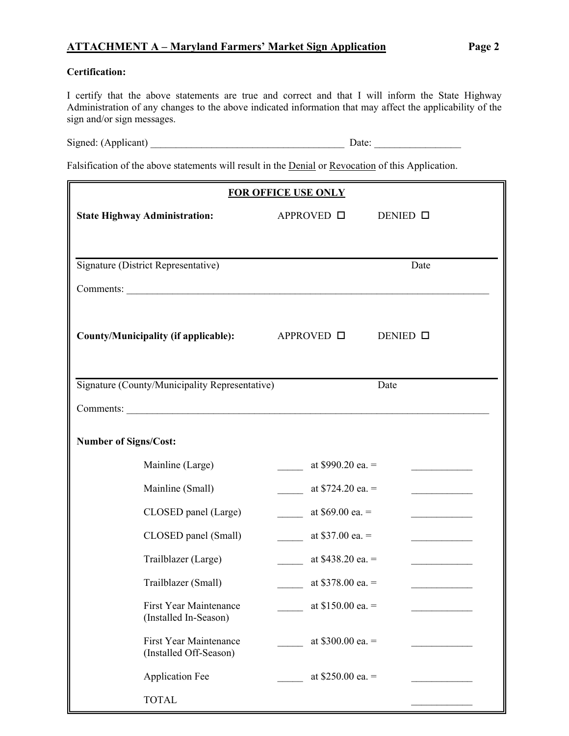# **ATTACHMENT A – Maryland Farmers' Market Sign Application Page 2**

#### **Certification:**

I certify that the above statements are true and correct and that I will inform the State Highway Administration of any changes to the above indicated information that may affect the applicability of the sign and/or sign messages.

| Signed: (Applicant) | Date: |  |
|---------------------|-------|--|
|---------------------|-------|--|

Falsification of the above statements will result in the Denial or Revocation of this Application.

| <b>FOR OFFICE USE ONLY</b>                                            |                             |  |  |  |  |  |  |
|-----------------------------------------------------------------------|-----------------------------|--|--|--|--|--|--|
| <b>State Highway Administration:</b>                                  | APPROVED □<br>DENIED $\Box$ |  |  |  |  |  |  |
|                                                                       |                             |  |  |  |  |  |  |
| Signature (District Representative)                                   | Date                        |  |  |  |  |  |  |
|                                                                       |                             |  |  |  |  |  |  |
| Comments:                                                             |                             |  |  |  |  |  |  |
| County/Municipality (if applicable):<br>APPROVED □<br>DENIED <b>O</b> |                             |  |  |  |  |  |  |
| Signature (County/Municipality Representative)                        | Date                        |  |  |  |  |  |  |
| Comments:                                                             |                             |  |  |  |  |  |  |
| <b>Number of Signs/Cost:</b>                                          |                             |  |  |  |  |  |  |
| Mainline (Large)                                                      | at $$990.20$ ea. =          |  |  |  |  |  |  |
| Mainline (Small)                                                      | at $$724.20$ ea. =          |  |  |  |  |  |  |
| CLOSED panel (Large)                                                  | at $$69.00$ ea. =           |  |  |  |  |  |  |
| CLOSED panel (Small)                                                  | at $$37.00$ ea. =           |  |  |  |  |  |  |
| Trailblazer (Large)                                                   | at $$438.20$ ea. =          |  |  |  |  |  |  |
| Trailblazer (Small)                                                   | at $$378.00$ ea. =          |  |  |  |  |  |  |
| <b>First Year Maintenance</b><br>(Installed In-Season)                | at $$150.00$ ea. =          |  |  |  |  |  |  |
| <b>First Year Maintenance</b><br>(Installed Off-Season)               | at $$300.00$ ea. =          |  |  |  |  |  |  |
| <b>Application Fee</b>                                                | at $$250.00$ ea. =          |  |  |  |  |  |  |
| <b>TOTAL</b>                                                          |                             |  |  |  |  |  |  |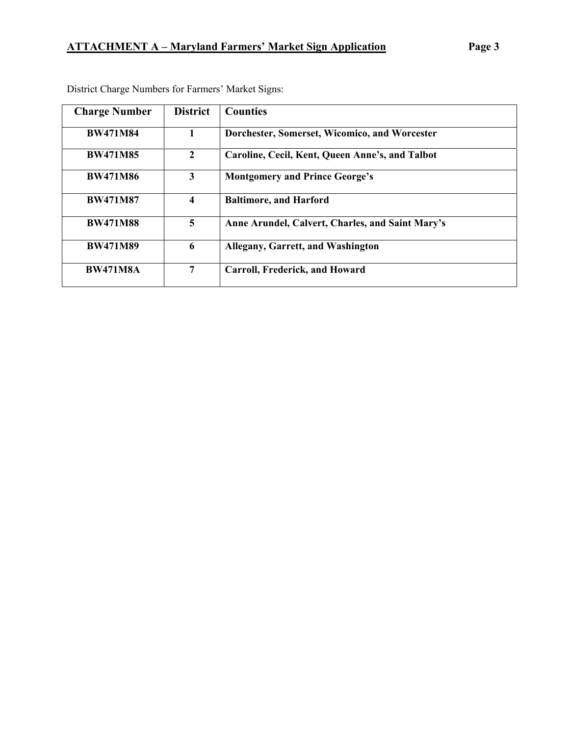| <b>Charge Number</b> | <b>District</b>         | <b>Counties</b>                                  |
|----------------------|-------------------------|--------------------------------------------------|
| <b>BW471M84</b>      |                         | Dorchester, Somerset, Wicomico, and Worcester    |
| <b>BW471M85</b>      | $\mathbf{2}$            | Caroline, Cecil, Kent, Queen Anne's, and Talbot  |
| <b>BW471M86</b>      | $\overline{\mathbf{3}}$ | <b>Montgomery and Prince George's</b>            |
| <b>BW471M87</b>      | 4                       | <b>Baltimore, and Harford</b>                    |
| <b>BW471M88</b>      | 5                       | Anne Arundel, Calvert, Charles, and Saint Mary's |
| <b>BW471M89</b>      | 6                       | Allegany, Garrett, and Washington                |
| <b>BW471M8A</b>      | 7                       | Carroll, Frederick, and Howard                   |

District Charge Numbers for Farmers' Market Signs: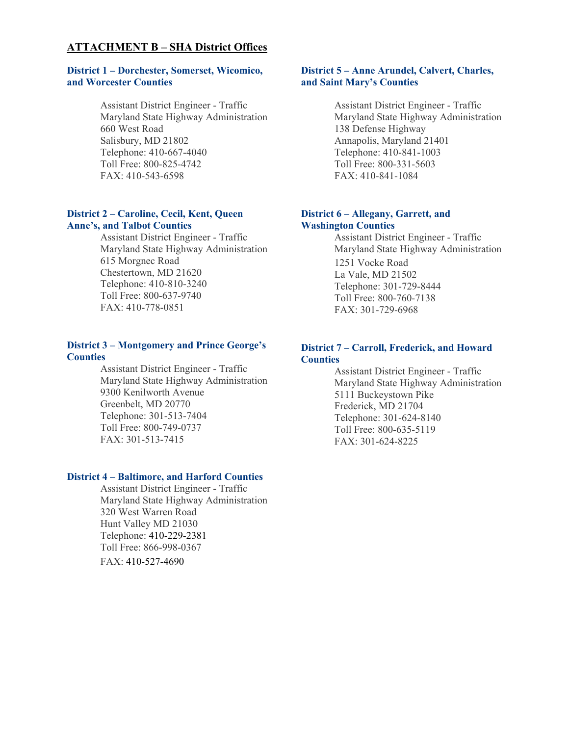#### **ATTACHMENT B – SHA District Offices**

#### **District 1 – Dorchester, Somerset, Wicomico, and Worcester Counties**

Assistant District Engineer - Traffic Maryland State Highway Administration 660 West Road Salisbury, MD 21802 Telephone: 410-667-4040 Toll Free: 800-825-4742 FAX: 410-543-6598

#### **District 2 – Caroline, Cecil, Kent, Queen Anne's, and Talbot Counties**

Assistant District Engineer - Traffic Maryland State Highway Administration 615 Morgnec Road Chestertown, MD 21620 Telephone: 410-810-3240 Toll Free: 800-637-9740 FAX: 410-778-0851

#### **District 3 – Montgomery and Prince George's Counties**

Assistant District Engineer - Traffic Maryland State Highway Administration 9300 Kenilworth Avenue Greenbelt, MD 20770 Telephone: 301-513-7404 Toll Free: 800-749-0737 FAX: 301-513-7415

#### **District 4 – Baltimore, and Harford Counties**

Assistant District Engineer - Traffic Maryland State Highway Administration 320 West Warren Road Hunt Valley MD 21030 Telephone: 410-229-2381 Toll Free: 866-998-0367 FAX: 410-527-4690

#### **District 5 – Anne Arundel, Calvert, Charles, and Saint Mary's Counties**

Assistant District Engineer - Traffic Maryland State Highway Administration 138 Defense Highway Annapolis, Maryland 21401 Telephone: 410-841-1003 Toll Free: 800-331-5603 FAX: 410-841-1084

#### **District 6 – Allegany, Garrett, and Washington Counties**

Assistant District Engineer - Traffic Maryland State Highway Administration 1251 Vocke Road La Vale, MD 21502 Telephone: 301-729-8444 Toll Free: 800-760-7138 FAX: 301-729-6968

#### **District 7 – Carroll, Frederick, and Howard Counties**

Assistant District Engineer - Traffic Maryland State Highway Administration 5111 Buckeystown Pike Frederick, MD 21704 Telephone: 301-624-8140 Toll Free: 800-635-5119 FAX: 301-624-8225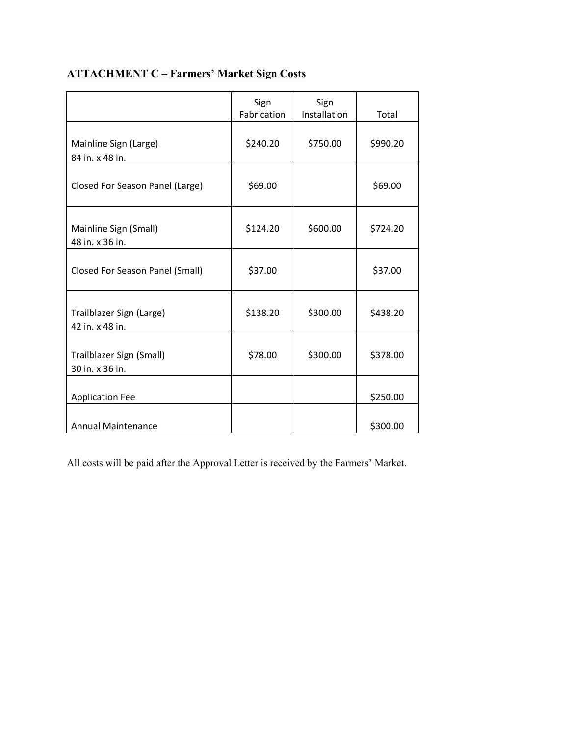# **ATTACHMENT C – Farmers' Market Sign Costs**

|                                             | Sign<br>Fabrication | Sign<br>Installation | Total    |
|---------------------------------------------|---------------------|----------------------|----------|
| Mainline Sign (Large)<br>84 in. x 48 in.    | \$240.20            | \$750.00             | \$990.20 |
| Closed For Season Panel (Large)             | \$69.00             |                      | \$69.00  |
| Mainline Sign (Small)<br>48 in. x 36 in.    | \$124.20            | \$600.00             | \$724.20 |
| <b>Closed For Season Panel (Small)</b>      | \$37.00             |                      | \$37.00  |
| Trailblazer Sign (Large)<br>42 in. x 48 in. | \$138.20            | \$300.00             | \$438.20 |
| Trailblazer Sign (Small)<br>30 in. x 36 in. | \$78.00             | \$300.00             | \$378.00 |
| <b>Application Fee</b>                      |                     |                      | \$250.00 |
| <b>Annual Maintenance</b>                   |                     |                      | \$300.00 |

All costs will be paid after the Approval Letter is received by the Farmers' Market.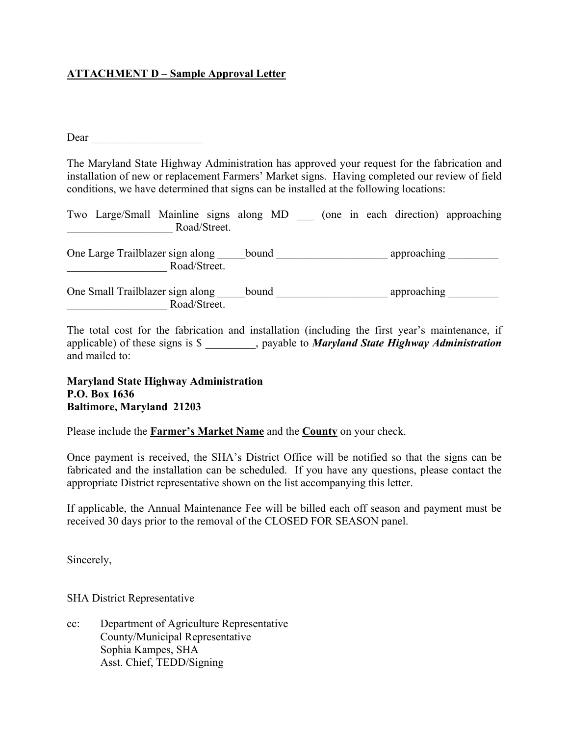## **ATTACHMENT D – Sample Approval Letter**

Dear \_\_\_\_\_\_\_\_\_\_\_\_\_\_\_\_\_\_\_\_

The Maryland State Highway Administration has approved your request for the fabrication and installation of new or replacement Farmers' Market signs. Having completed our review of field conditions, we have determined that signs can be installed at the following locations:

|              | Two Large/Small Mainline signs along MD |  |  |  |  |  |  | (one in each direction) approaching |
|--------------|-----------------------------------------|--|--|--|--|--|--|-------------------------------------|
| Road/Street. |                                         |  |  |  |  |  |  |                                     |

One Large Trailblazer sign along \_\_\_\_\_bound \_\_\_\_\_\_\_\_\_\_\_\_\_\_\_\_\_\_\_\_\_\_\_\_\_ approaching \_\_\_\_\_\_\_\_\_\_ \_\_\_\_\_\_\_\_\_\_\_\_\_\_\_\_\_\_ Road/Street.

One Small Trailblazer sign along \_\_\_\_\_bound \_\_\_\_\_\_\_\_\_\_\_\_\_\_\_\_\_\_\_\_\_\_\_\_\_\_\_\_\_\_ approaching \_\_\_\_\_\_\_\_\_\_\_\_ \_\_\_\_\_\_\_\_\_\_\_\_\_\_\_\_\_\_ Road/Street.

The total cost for the fabrication and installation (including the first year's maintenance, if applicable) of these signs is \$ \_\_\_\_\_\_\_\_\_, payable to *Maryland State Highway Administration* and mailed to:

#### **Maryland State Highway Administration P.O. Box 1636 Baltimore, Maryland 21203**

Please include the **Farmer's Market Name** and the **County** on your check.

Once payment is received, the SHA's District Office will be notified so that the signs can be fabricated and the installation can be scheduled. If you have any questions, please contact the appropriate District representative shown on the list accompanying this letter.

If applicable, the Annual Maintenance Fee will be billed each off season and payment must be received 30 days prior to the removal of the CLOSED FOR SEASON panel.

Sincerely,

SHA District Representative

cc: Department of Agriculture Representative County/Municipal Representative Sophia Kampes, SHA Asst. Chief, TEDD/Signing